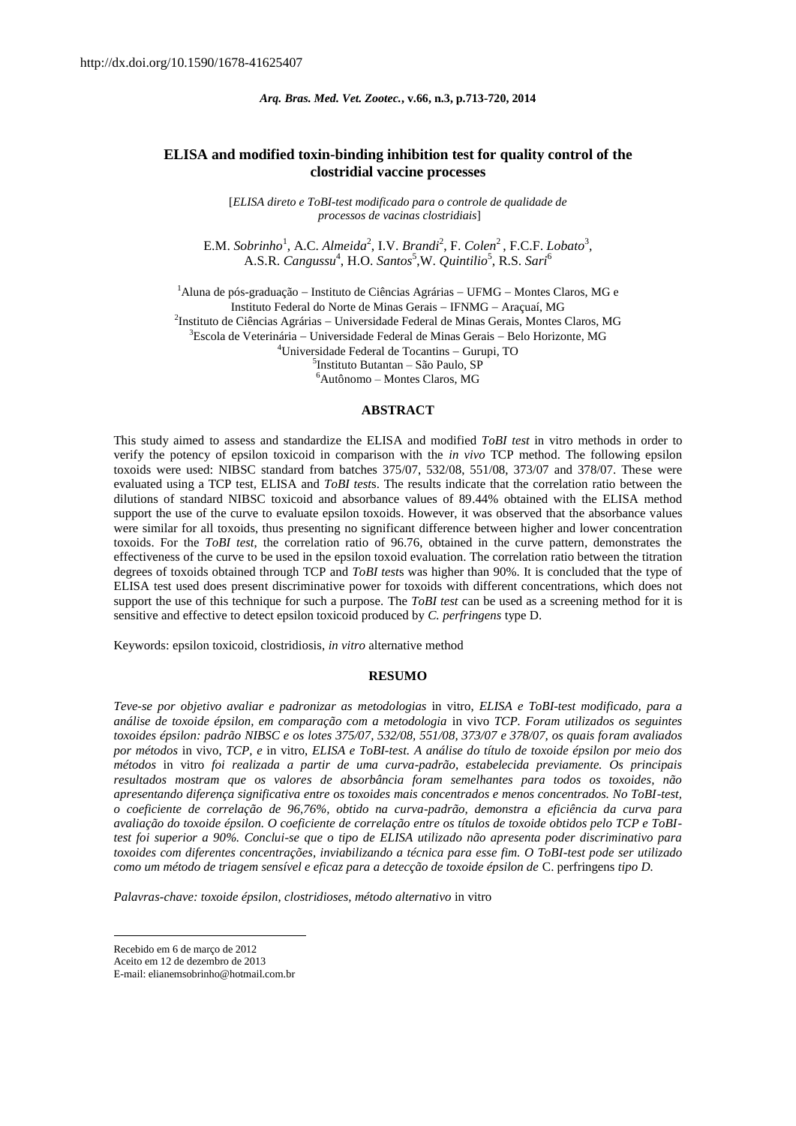# **ELISA and modified toxin-binding inhibition test for quality control of the clostridial vaccine processes**

[*ELISA direto e ToBI-test modificado para o controle de qualidade de processos de vacinas clostridiais*]

E.M. *Sobrinho*<sup>1</sup>, A.C. *Almeida*<sup>2</sup>, I.V. *Brandi*<sup>2</sup>, F. *Colen*<sup>2</sup>, F.C.F. *Lobato*<sup>3</sup>, A.S.R. *Cangussu*<sup>4</sup>, H.O. *Santos*<sup>5</sup>,W. *Quintilio*<sup>5</sup>, R.S. *Sari*<sup>6</sup>

<sup>1</sup>Aluna de pós-graduação – Instituto de Ciências Agrárias – UFMG – Montes Claros, MG e Instituto Federal do Norte de Minas Gerais - IFNMG - Araçuaí, MG <sup>2</sup>Instituto de Ciências Agrárias - Universidade Federal de Minas Gerais, Montes Claros, MG  $3E$ scola de Veterinária – Universidade Federal de Minas Gerais – Belo Horizonte, MG  $4$ Universidade Federal de Tocantins - Gurupi, TO 5 Instituto Butantan – São Paulo, SP <sup>6</sup>Autônomo – Montes Claros, MG

#### **ABSTRACT**

This study aimed to assess and standardize the ELISA and modified *ToBI test* in vitro methods in order to verify the potency of epsilon toxicoid in comparison with the *in vivo* TCP method. The following epsilon toxoids were used: NIBSC standard from batches 375/07, 532/08, 551/08, 373/07 and 378/07. These were evaluated using a TCP test, ELISA and *ToBI test*s. The results indicate that the correlation ratio between the dilutions of standard NIBSC toxicoid and absorbance values of 89.44% obtained with the ELISA method support the use of the curve to evaluate epsilon toxoids. However, it was observed that the absorbance values were similar for all toxoids, thus presenting no significant difference between higher and lower concentration toxoids. For the *ToBI test*, the correlation ratio of 96.76, obtained in the curve pattern, demonstrates the effectiveness of the curve to be used in the epsilon toxoid evaluation. The correlation ratio between the titration degrees of toxoids obtained through TCP and *ToBI test*s was higher than 90%. It is concluded that the type of ELISA test used does present discriminative power for toxoids with different concentrations, which does not support the use of this technique for such a purpose. The *ToBI test* can be used as a screening method for it is sensitive and effective to detect epsilon toxicoid produced by *C. perfringens* type D.

Keywords: epsilon toxicoid, clostridiosis, *in vitro* alternative method

#### **RESUMO**

*Teve-se por objetivo avaliar e padronizar as metodologias* in vitro, *ELISA e ToBI-test modificado, para a análise de toxoide épsilon, em comparação com a metodologia* in vivo *TCP. Foram utilizados os seguintes toxoides épsilon: padrão NIBSC e os lotes 375/07, 532/08, 551/08, 373/07 e 378/07, os quais foram avaliados por métodos* in vivo, *TCP, e* in vitro, *ELISA e ToBI-test. A análise do título de toxoide épsilon por meio dos métodos* in vitro *foi realizada a partir de uma curva-padrão, estabelecida previamente. Os principais resultados mostram que os valores de absorbância foram semelhantes para todos os toxoides, não apresentando diferença significativa entre os toxoides mais concentrados e menos concentrados. No ToBI-test, o coeficiente de correlação de 96,76%, obtido na curva-padrão, demonstra a eficiência da curva para avaliação do toxoide épsilon. O coeficiente de correlação entre os títulos de toxoide obtidos pelo TCP e ToBItest foi superior a 90%. Conclui-se que o tipo de ELISA utilizado não apresenta poder discriminativo para toxoides com diferentes concentrações, inviabilizando a técnica para esse fim. O ToBI-test pode ser utilizado como um método de triagem sensível e eficaz para a detecção de toxoide épsilon de* C. perfringens *tipo D.*

*Palavras-chave: toxoide épsilon, clostridioses, método alternativo* in vitro

1

Recebido em 6 de março de 2012

Aceito em 12 de dezembro de 2013

E-mail: elianemsobrinho@hotmail.com.br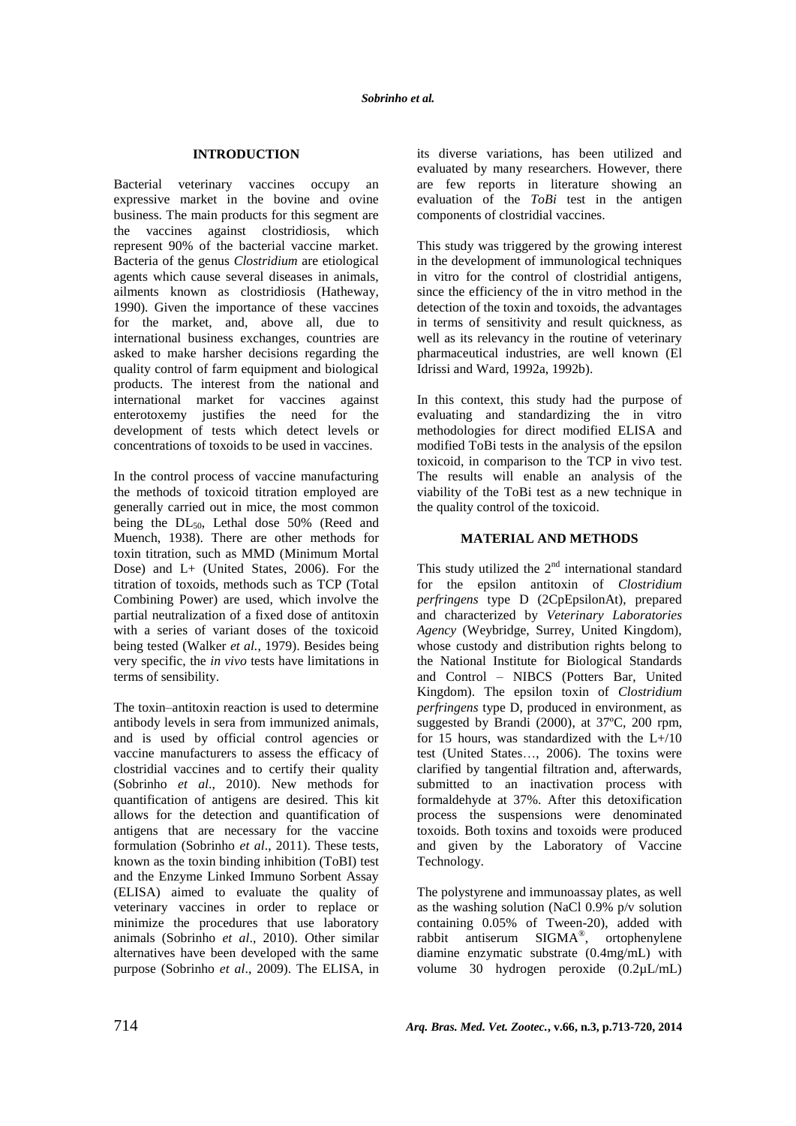# **INTRODUCTION**

Bacterial veterinary vaccines occupy an expressive market in the bovine and ovine business. The main products for this segment are the vaccines against clostridiosis, which represent 90% of the bacterial vaccine market. Bacteria of the genus *Clostridium* are etiological agents which cause several diseases in animals, ailments known as clostridiosis (Hatheway, 1990). Given the importance of these vaccines for the market, and, above all, due to international business exchanges, countries are asked to make harsher decisions regarding the quality control of farm equipment and biological products. The interest from the national and international market for vaccines against enterotoxemy justifies the need for the development of tests which detect levels or concentrations of toxoids to be used in vaccines.

In the control process of vaccine manufacturing the methods of toxicoid titration employed are generally carried out in mice, the most common being the  $DL_{50}$ , Lethal dose 50% (Reed and Muench, 1938). There are other methods for toxin titration, such as MMD (Minimum Mortal Dose) and L+ (United States, 2006). For the titration of toxoids, methods such as TCP (Total Combining Power) are used, which involve the partial neutralization of a fixed dose of antitoxin with a series of variant doses of the toxicoid being tested (Walker *et al.*, 1979). Besides being very specific, the *in vivo* tests have limitations in terms of sensibility.

The toxin–antitoxin reaction is used to determine antibody levels in sera from immunized animals, and is used by official control agencies or vaccine manufacturers to assess the efficacy of clostridial vaccines and to certify their quality (Sobrinho *et al*., 2010). New methods for quantification of antigens are desired. This kit allows for the detection and quantification of antigens that are necessary for the vaccine formulation (Sobrinho *et al*., 2011). These tests, known as the toxin binding inhibition (ToBI) test and the Enzyme Linked Immuno Sorbent Assay (ELISA) aimed to evaluate the quality of veterinary vaccines in order to replace or minimize the procedures that use laboratory animals (Sobrinho *et al*., 2010). Other similar alternatives have been developed with the same purpose (Sobrinho *et al*., 2009). The ELISA, in its diverse variations, has been utilized and evaluated by many researchers. However, there are few reports in literature showing an evaluation of the *ToBi* test in the antigen components of clostridial vaccines.

This study was triggered by the growing interest in the development of immunological techniques in vitro for the control of clostridial antigens, since the efficiency of the in vitro method in the detection of the toxin and toxoids, the advantages in terms of sensitivity and result quickness, as well as its relevancy in the routine of veterinary pharmaceutical industries, are well known (El Idrissi and Ward, 1992a, 1992b).

In this context, this study had the purpose of evaluating and standardizing the in vitro methodologies for direct modified ELISA and modified ToBi tests in the analysis of the epsilon toxicoid, in comparison to the TCP in vivo test. The results will enable an analysis of the viability of the ToBi test as a new technique in the quality control of the toxicoid.

# **MATERIAL AND METHODS**

This study utilized the  $2<sup>nd</sup>$  international standard for the epsilon antitoxin of *Clostridium perfringens* type D (2CpEpsilonAt), prepared and characterized by *Veterinary Laboratories Agency* (Weybridge, Surrey, United Kingdom), whose custody and distribution rights belong to the National Institute for Biological Standards and Control – NIBCS (Potters Bar, United Kingdom). The epsilon toxin of *Clostridium perfringens* type D, produced in environment, as suggested by Brandi (2000), at 37ºC, 200 rpm, for 15 hours, was standardized with the L+/10 test (United States…, 2006). The toxins were clarified by tangential filtration and, afterwards, submitted to an inactivation process with formaldehyde at 37%. After this detoxification process the suspensions were denominated toxoids. Both toxins and toxoids were produced and given by the Laboratory of Vaccine Technology.

The polystyrene and immunoassay plates, as well as the washing solution (NaCl 0.9% p/v solution containing 0.05% of Tween-20), added with rabbit antiserum SIGMA® , ortophenylene diamine enzymatic substrate (0.4mg/mL) with volume 30 hydrogen peroxide (0.2µL/mL)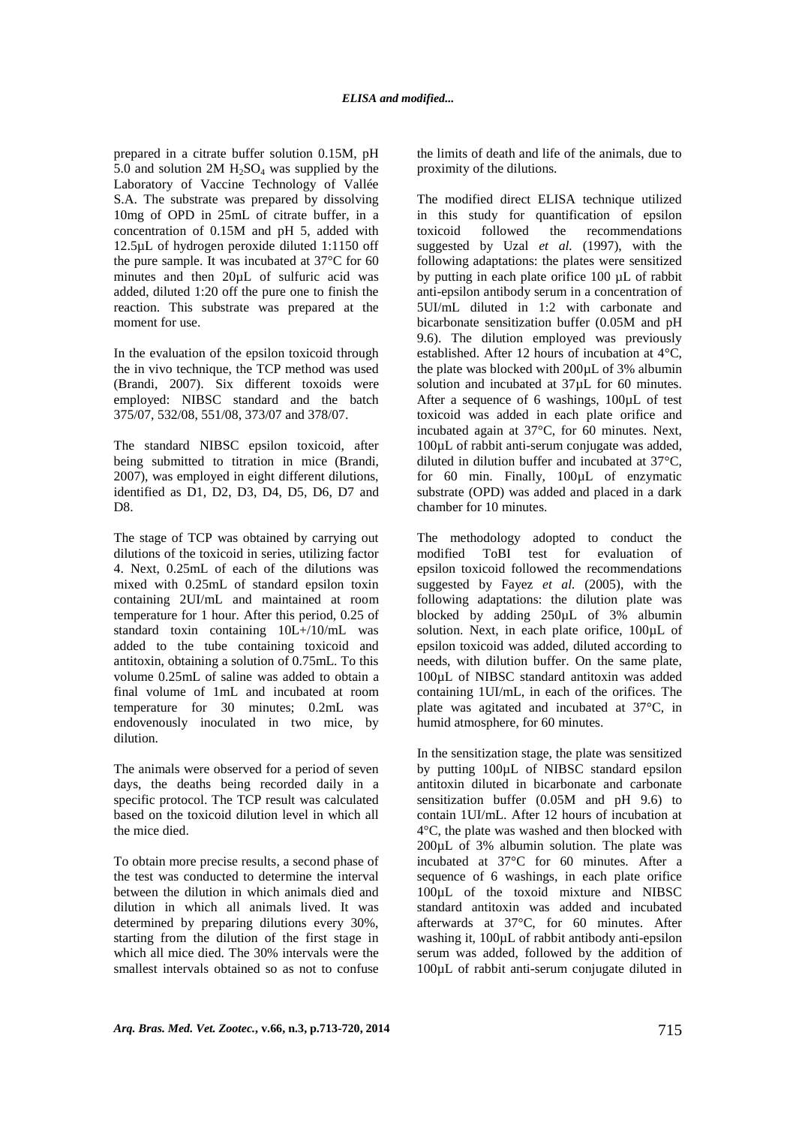prepared in a citrate buffer solution 0.15M, pH 5.0 and solution 2M  $H_2SO_4$  was supplied by the Laboratory of Vaccine Technology of Vallée S.A. The substrate was prepared by dissolving 10mg of OPD in 25mL of citrate buffer, in a concentration of 0.15M and pH 5, added with 12.5µL of hydrogen peroxide diluted 1:1150 off the pure sample. It was incubated at 37°C for 60 minutes and then 20µL of sulfuric acid was added, diluted 1:20 off the pure one to finish the reaction. This substrate was prepared at the moment for use.

In the evaluation of the epsilon toxicoid through the in vivo technique, the TCP method was used (Brandi, 2007). Six different toxoids were employed: NIBSC standard and the batch 375/07, 532/08, 551/08, 373/07 and 378/07.

The standard NIBSC epsilon toxicoid, after being submitted to titration in mice (Brandi, 2007), was employed in eight different dilutions, identified as D1, D2, D3, D4, D5, D6, D7 and D8.

The stage of TCP was obtained by carrying out dilutions of the toxicoid in series, utilizing factor 4. Next, 0.25mL of each of the dilutions was mixed with 0.25mL of standard epsilon toxin containing 2UI/mL and maintained at room temperature for 1 hour. After this period, 0.25 of standard toxin containing 10L+/10/mL was added to the tube containing toxicoid and antitoxin, obtaining a solution of 0.75mL. To this volume 0.25mL of saline was added to obtain a final volume of 1mL and incubated at room temperature for 30 minutes; 0.2mL was endovenously inoculated in two mice, by dilution.

The animals were observed for a period of seven days, the deaths being recorded daily in a specific protocol. The TCP result was calculated based on the toxicoid dilution level in which all the mice died.

To obtain more precise results, a second phase of the test was conducted to determine the interval between the dilution in which animals died and dilution in which all animals lived. It was determined by preparing dilutions every 30%, starting from the dilution of the first stage in which all mice died. The 30% intervals were the smallest intervals obtained so as not to confuse the limits of death and life of the animals, due to proximity of the dilutions.

The modified direct ELISA technique utilized in this study for quantification of epsilon toxicoid followed the recommendations suggested by Uzal *et al.* (1997), with the following adaptations: the plates were sensitized by putting in each plate orifice 100 µL of rabbit anti-epsilon antibody serum in a concentration of 5UI/mL diluted in 1:2 with carbonate and bicarbonate sensitization buffer (0.05M and pH 9.6). The dilution employed was previously established. After 12 hours of incubation at 4°C, the plate was blocked with 200µL of 3% albumin solution and incubated at  $37 \mu$ L for 60 minutes. After a sequence of 6 washings, 100µL of test toxicoid was added in each plate orifice and incubated again at 37°C, for 60 minutes. Next, 100µL of rabbit anti-serum conjugate was added, diluted in dilution buffer and incubated at 37°C, for 60 min. Finally, 100µL of enzymatic substrate (OPD) was added and placed in a dark chamber for 10 minutes.

The methodology adopted to conduct the modified ToBI test for evaluation of epsilon toxicoid followed the recommendations suggested by Fayez *et al.* (2005), with the following adaptations: the dilution plate was blocked by adding 250µL of 3% albumin solution. Next, in each plate orifice, 100µL of epsilon toxicoid was added, diluted according to needs, with dilution buffer. On the same plate, 100µL of NIBSC standard antitoxin was added containing 1UI/mL, in each of the orifices. The plate was agitated and incubated at 37°C, in humid atmosphere, for 60 minutes.

In the sensitization stage, the plate was sensitized by putting 100µL of NIBSC standard epsilon antitoxin diluted in bicarbonate and carbonate sensitization buffer (0.05M and pH 9.6) to contain 1UI/mL. After 12 hours of incubation at 4°C, the plate was washed and then blocked with 200µL of 3% albumin solution. The plate was incubated at 37°C for 60 minutes. After a sequence of 6 washings, in each plate orifice 100µL of the toxoid mixture and NIBSC standard antitoxin was added and incubated afterwards at 37°C, for 60 minutes. After washing it,  $100\mu L$  of rabbit antibody anti-epsilon serum was added, followed by the addition of 100µL of rabbit anti-serum conjugate diluted in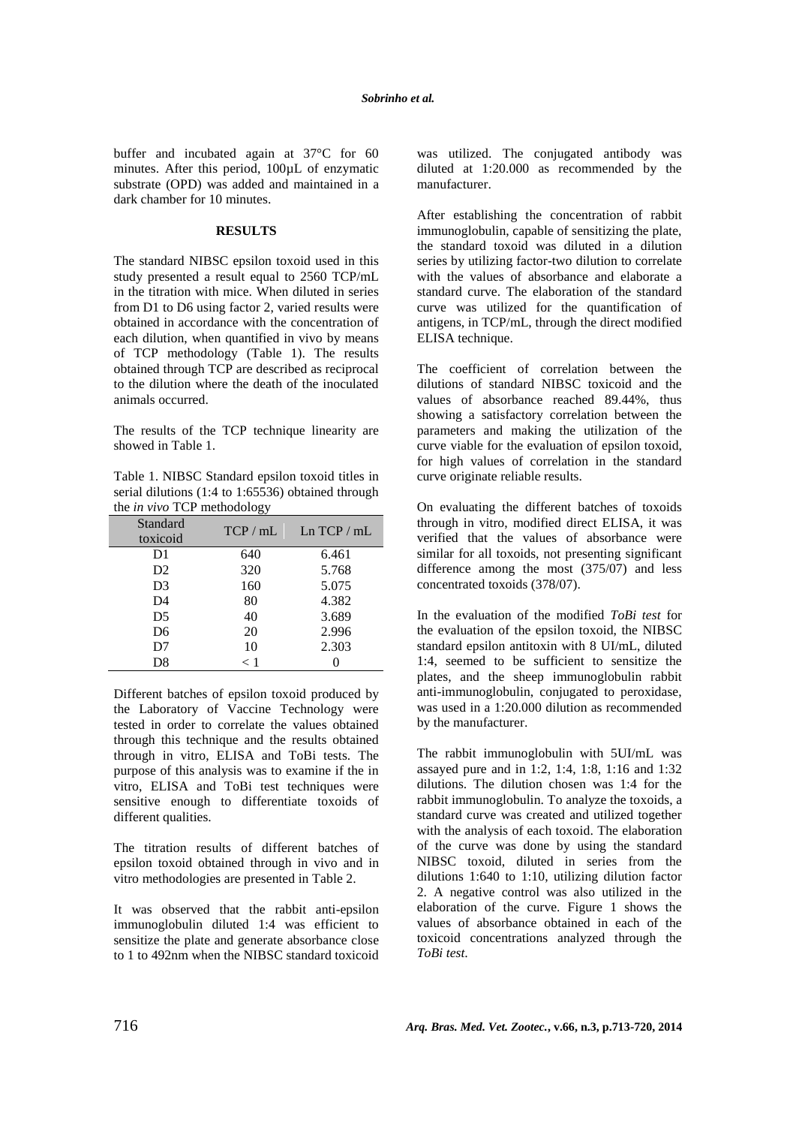buffer and incubated again at 37°C for 60 minutes. After this period, 100µL of enzymatic substrate (OPD) was added and maintained in a dark chamber for 10 minutes.

## **RESULTS**

The standard NIBSC epsilon toxoid used in this study presented a result equal to 2560 TCP/mL in the titration with mice. When diluted in series from D1 to D6 using factor 2, varied results were obtained in accordance with the concentration of each dilution, when quantified in vivo by means of TCP methodology (Table 1). The results obtained through TCP are described as reciprocal to the dilution where the death of the inoculated animals occurred.

The results of the TCP technique linearity are showed in Table 1.

Table 1. NIBSC Standard epsilon toxoid titles in serial dilutions (1:4 to 1:65536) obtained through the *in vivo* TCP methodology

| Standard<br>toxicoid | TCP / mL | Ln TCP / mL |
|----------------------|----------|-------------|
| D1                   | 640      | 6.461       |
| D <sub>2</sub>       | 320      | 5.768       |
| D <sub>3</sub>       | 160      | 5.075       |
| D <sub>4</sub>       | 80       | 4.382       |
| D5                   | 40       | 3.689       |
| D <sub>6</sub>       | 20       | 2.996       |
| D7                   | 10       | 2.303       |
| D8                   | $\lt1$   |             |

Different batches of epsilon toxoid produced by the Laboratory of Vaccine Technology were tested in order to correlate the values obtained through this technique and the results obtained through in vitro, ELISA and ToBi tests. The purpose of this analysis was to examine if the in vitro, ELISA and ToBi test techniques were sensitive enough to differentiate toxoids of different qualities.

The titration results of different batches of epsilon toxoid obtained through in vivo and in vitro methodologies are presented in Table 2.

It was observed that the rabbit anti-epsilon immunoglobulin diluted 1:4 was efficient to sensitize the plate and generate absorbance close to 1 to 492nm when the NIBSC standard toxicoid was utilized. The conjugated antibody was diluted at 1:20.000 as recommended by the manufacturer.

After establishing the concentration of rabbit immunoglobulin, capable of sensitizing the plate, the standard toxoid was diluted in a dilution series by utilizing factor-two dilution to correlate with the values of absorbance and elaborate a standard curve. The elaboration of the standard curve was utilized for the quantification of antigens, in TCP/mL, through the direct modified ELISA technique.

The coefficient of correlation between the dilutions of standard NIBSC toxicoid and the values of absorbance reached 89.44%, thus showing a satisfactory correlation between the parameters and making the utilization of the curve viable for the evaluation of epsilon toxoid, for high values of correlation in the standard curve originate reliable results.

On evaluating the different batches of toxoids through in vitro, modified direct ELISA, it was verified that the values of absorbance were similar for all toxoids, not presenting significant difference among the most (375/07) and less concentrated toxoids (378/07).

In the evaluation of the modified *ToBi test* for the evaluation of the epsilon toxoid, the NIBSC standard epsilon antitoxin with 8 UI/mL, diluted 1:4, seemed to be sufficient to sensitize the plates, and the sheep immunoglobulin rabbit anti-immunoglobulin, conjugated to peroxidase, was used in a 1:20.000 dilution as recommended by the manufacturer.

The rabbit immunoglobulin with 5UI/mL was assayed pure and in 1:2, 1:4, 1:8, 1:16 and 1:32 dilutions. The dilution chosen was 1:4 for the rabbit immunoglobulin. To analyze the toxoids, a standard curve was created and utilized together with the analysis of each toxoid. The elaboration of the curve was done by using the standard NIBSC toxoid, diluted in series from the dilutions 1:640 to 1:10, utilizing dilution factor 2. A negative control was also utilized in the elaboration of the curve. Figure 1 shows the values of absorbance obtained in each of the toxicoid concentrations analyzed through the *ToBi test*.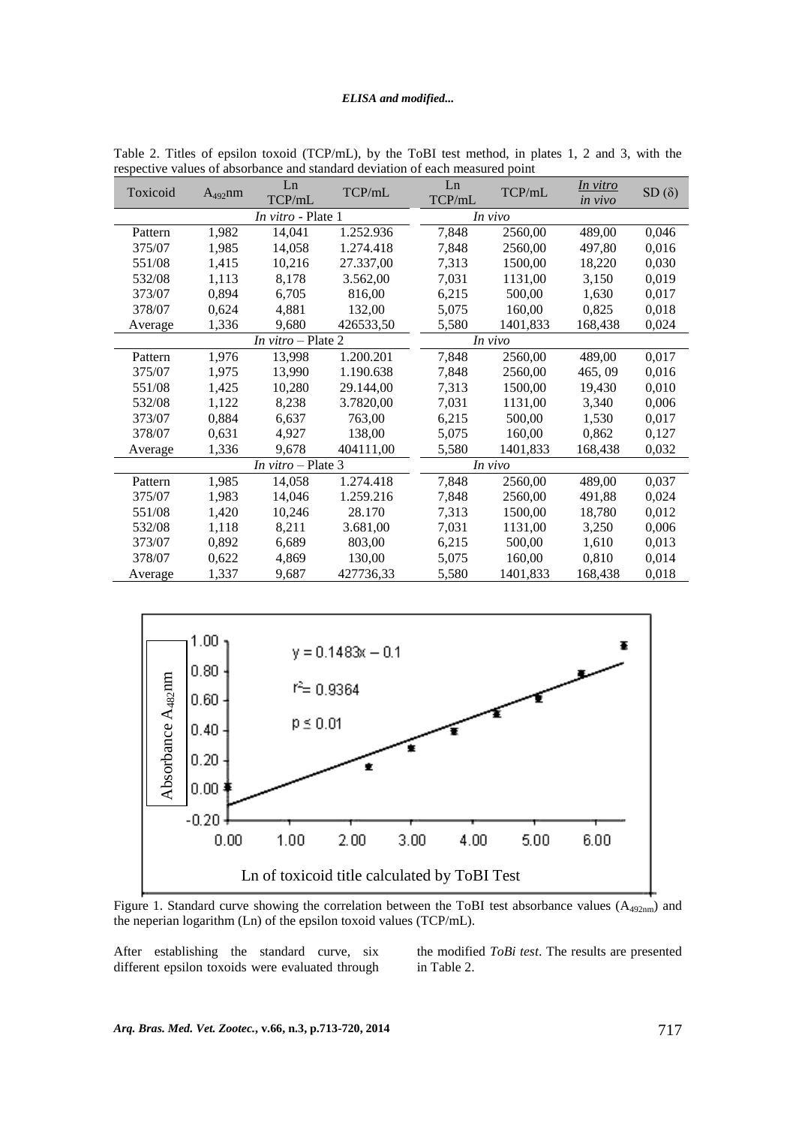| Toxicoid                  | $A_{492}$ nm | Ln<br>TCP/mL | TCP/mL    | Ln<br>TCP/mL | TCP/mL   | In vitro<br><i>in vivo</i> | $SD(\delta)$ |
|---------------------------|--------------|--------------|-----------|--------------|----------|----------------------------|--------------|
| In vitro - Plate 1        |              |              | In vivo   |              |          |                            |              |
| Pattern                   | 1,982        | 14,041       | 1.252.936 | 7,848        | 2560,00  | 489,00                     | 0,046        |
| 375/07                    | 1,985        | 14,058       | 1.274.418 | 7,848        | 2560,00  | 497,80                     | 0,016        |
| 551/08                    | 1,415        | 10,216       | 27.337,00 | 7,313        | 1500,00  | 18,220                     | 0,030        |
| 532/08                    | 1,113        | 8,178        | 3.562,00  | 7,031        | 1131,00  | 3,150                      | 0,019        |
| 373/07                    | 0,894        | 6,705        | 816,00    | 6,215        | 500,00   | 1,630                      | 0,017        |
| 378/07                    | 0,624        | 4,881        | 132,00    | 5,075        | 160,00   | 0,825                      | 0,018        |
| Average                   | 1,336        | 9,680        | 426533,50 | 5,580        | 1401,833 | 168,438                    | 0,024        |
| In vitro – Plate 2        |              |              | In vivo   |              |          |                            |              |
| Pattern                   | 1,976        | 13,998       | 1.200.201 | 7,848        | 2560,00  | 489,00                     | 0,017        |
| 375/07                    | 1,975        | 13,990       | 1.190.638 | 7,848        | 2560,00  | 465,09                     | 0,016        |
| 551/08                    | 1,425        | 10,280       | 29.144,00 | 7,313        | 1500,00  | 19,430                     | 0,010        |
| 532/08                    | 1,122        | 8,238        | 3.7820,00 | 7,031        | 1131,00  | 3,340                      | 0,006        |
| 373/07                    | 0,884        | 6,637        | 763,00    | 6,215        | 500,00   | 1,530                      | 0,017        |
| 378/07                    | 0,631        | 4,927        | 138,00    | 5,075        | 160,00   | 0,862                      | 0,127        |
| Average                   | 1,336        | 9,678        | 404111,00 | 5,580        | 1401,833 | 168,438                    | 0,032        |
| <i>In vitro</i> – Plate 3 |              |              | In vivo   |              |          |                            |              |
| Pattern                   | 1,985        | 14,058       | 1.274.418 | 7,848        | 2560,00  | 489,00                     | 0,037        |
| 375/07                    | 1,983        | 14,046       | 1.259.216 | 7,848        | 2560,00  | 491,88                     | 0,024        |
| 551/08                    | 1,420        | 10,246       | 28.170    | 7,313        | 1500,00  | 18,780                     | 0,012        |
| 532/08                    | 1,118        | 8,211        | 3.681,00  | 7,031        | 1131,00  | 3,250                      | 0,006        |
| 373/07                    | 0,892        | 6,689        | 803,00    | 6,215        | 500,00   | 1,610                      | 0,013        |
| 378/07                    | 0,622        | 4,869        | 130,00    | 5,075        | 160,00   | 0,810                      | 0,014        |
| Average                   | 1,337        | 9,687        | 427736,33 | 5,580        | 1401,833 | 168,438                    | 0,018        |

Table 2. Titles of epsilon toxoid (TCP/mL), by the ToBI test method, in plates 1, 2 and 3, with the respective values of absorbance and standard deviation of each measured point



Figure 1. Standard curve showing the correlation between the ToBI test absorbance values  $(A_{492nm})$  and the neperian logarithm (Ln) of the epsilon toxoid values (TCP/mL).

After establishing the standard curve, six different epsilon toxoids were evaluated through the modified *ToBi test*. The results are presented in Table 2.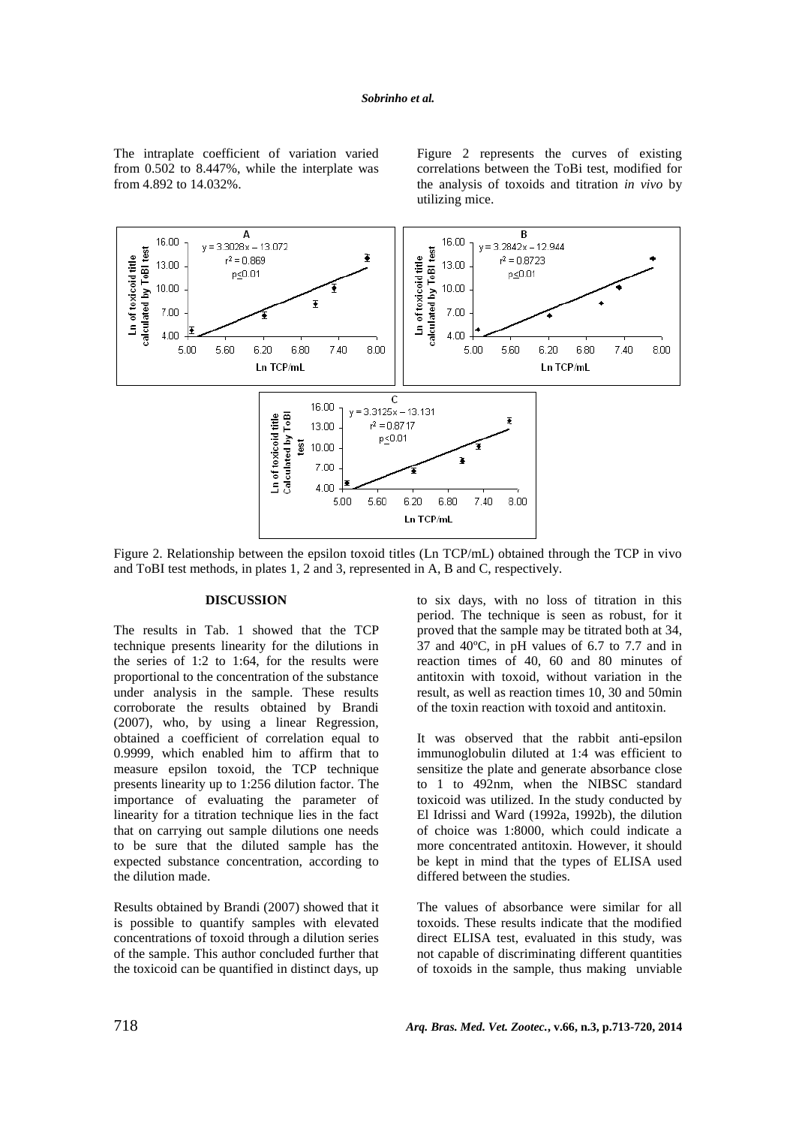The intraplate coefficient of variation varied from 0.502 to 8.447%, while the interplate was from 4.892 to 14.032%.

Figure 2 represents the curves of existing correlations between the ToBi test, modified for the analysis of toxoids and titration *in vivo* by utilizing mice.



Figure 2. Relationship between the epsilon toxoid titles (Ln TCP/mL) obtained through the TCP in vivo and ToBI test methods, in plates 1, 2 and 3, represented in A, B and C, respectively.

#### **DISCUSSION**

The results in Tab. 1 showed that the TCP technique presents linearity for the dilutions in the series of 1:2 to 1:64, for the results were proportional to the concentration of the substance under analysis in the sample. These results corroborate the results obtained by Brandi (2007), who, by using a linear Regression, obtained a coefficient of correlation equal to 0.9999, which enabled him to affirm that to measure epsilon toxoid, the TCP technique presents linearity up to 1:256 dilution factor. The importance of evaluating the parameter of linearity for a titration technique lies in the fact that on carrying out sample dilutions one needs to be sure that the diluted sample has the expected substance concentration, according to the dilution made.

Results obtained by Brandi (2007) showed that it is possible to quantify samples with elevated concentrations of toxoid through a dilution series of the sample. This author concluded further that the toxicoid can be quantified in distinct days, up

to six days, with no loss of titration in this period. The technique is seen as robust, for it proved that the sample may be titrated both at 34, 37 and 40ºC, in pH values of 6.7 to 7.7 and in reaction times of 40, 60 and 80 minutes of antitoxin with toxoid, without variation in the result, as well as reaction times 10, 30 and 50min of the toxin reaction with toxoid and antitoxin.

It was observed that the rabbit anti-epsilon immunoglobulin diluted at 1:4 was efficient to sensitize the plate and generate absorbance close to 1 to 492nm, when the NIBSC standard toxicoid was utilized. In the study conducted by El Idrissi and Ward (1992a, 1992b), the dilution of choice was 1:8000, which could indicate a more concentrated antitoxin. However, it should be kept in mind that the types of ELISA used differed between the studies.

The values of absorbance were similar for all toxoids. These results indicate that the modified direct ELISA test, evaluated in this study, was not capable of discriminating different quantities of toxoids in the sample, thus making unviable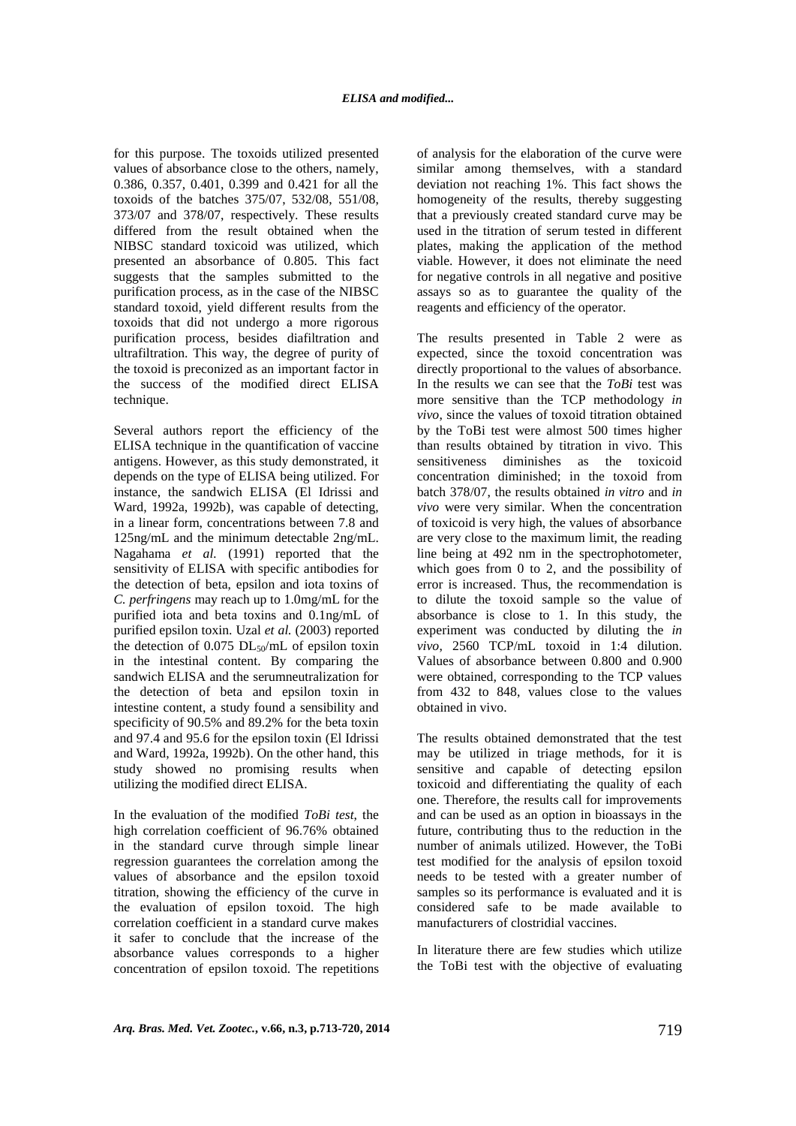for this purpose. The toxoids utilized presented values of absorbance close to the others, namely, 0.386, 0.357, 0.401, 0.399 and 0.421 for all the toxoids of the batches 375/07, 532/08, 551/08, 373/07 and 378/07, respectively. These results differed from the result obtained when the NIBSC standard toxicoid was utilized, which presented an absorbance of 0.805. This fact suggests that the samples submitted to the purification process, as in the case of the NIBSC standard toxoid, yield different results from the toxoids that did not undergo a more rigorous purification process, besides diafiltration and ultrafiltration. This way, the degree of purity of the toxoid is preconized as an important factor in the success of the modified direct ELISA technique.

Several authors report the efficiency of the ELISA technique in the quantification of vaccine antigens. However, as this study demonstrated, it depends on the type of ELISA being utilized. For instance, the sandwich ELISA (El Idrissi and Ward, 1992a, 1992b), was capable of detecting, in a linear form, concentrations between 7.8 and 125ng/mL and the minimum detectable 2ng/mL. Nagahama *et al.* (1991) reported that the sensitivity of ELISA with specific antibodies for the detection of beta, epsilon and iota toxins of *C. perfringens* may reach up to 1.0mg/mL for the purified iota and beta toxins and 0.1ng/mL of purified epsilon toxin. Uzal *et al.* (2003) reported the detection of  $0.075$  DL<sub>50</sub>/mL of epsilon toxin in the intestinal content. By comparing the sandwich ELISA and the serumneutralization for the detection of beta and epsilon toxin in intestine content, a study found a sensibility and specificity of 90.5% and 89.2% for the beta toxin and 97.4 and 95.6 for the epsilon toxin (El Idrissi and Ward, 1992a, 1992b). On the other hand, this study showed no promising results when utilizing the modified direct ELISA.

In the evaluation of the modified *ToBi test*, the high correlation coefficient of 96.76% obtained in the standard curve through simple linear regression guarantees the correlation among the values of absorbance and the epsilon toxoid titration, showing the efficiency of the curve in the evaluation of epsilon toxoid. The high correlation coefficient in a standard curve makes it safer to conclude that the increase of the absorbance values corresponds to a higher concentration of epsilon toxoid. The repetitions of analysis for the elaboration of the curve were similar among themselves, with a standard deviation not reaching 1%. This fact shows the homogeneity of the results, thereby suggesting that a previously created standard curve may be used in the titration of serum tested in different plates, making the application of the method viable. However, it does not eliminate the need for negative controls in all negative and positive assays so as to guarantee the quality of the reagents and efficiency of the operator.

The results presented in Table 2 were as expected, since the toxoid concentration was directly proportional to the values of absorbance. In the results we can see that the *ToBi* test was more sensitive than the TCP methodology *in vivo*, since the values of toxoid titration obtained by the ToBi test were almost 500 times higher than results obtained by titration in vivo. This sensitiveness diminishes as the toxicoid concentration diminished; in the toxoid from batch 378/07, the results obtained *in vitro* and *in vivo* were very similar. When the concentration of toxicoid is very high, the values of absorbance are very close to the maximum limit, the reading line being at 492 nm in the spectrophotometer, which goes from 0 to 2, and the possibility of error is increased. Thus, the recommendation is to dilute the toxoid sample so the value of absorbance is close to 1. In this study, the experiment was conducted by diluting the *in vivo*, 2560 TCP/mL toxoid in 1:4 dilution. Values of absorbance between 0.800 and 0.900 were obtained, corresponding to the TCP values from 432 to 848, values close to the values obtained in vivo.

The results obtained demonstrated that the test may be utilized in triage methods, for it is sensitive and capable of detecting epsilon toxicoid and differentiating the quality of each one. Therefore, the results call for improvements and can be used as an option in bioassays in the future, contributing thus to the reduction in the number of animals utilized. However, the ToBi test modified for the analysis of epsilon toxoid needs to be tested with a greater number of samples so its performance is evaluated and it is considered safe to be made available to manufacturers of clostridial vaccines.

In literature there are few studies which utilize the ToBi test with the objective of evaluating